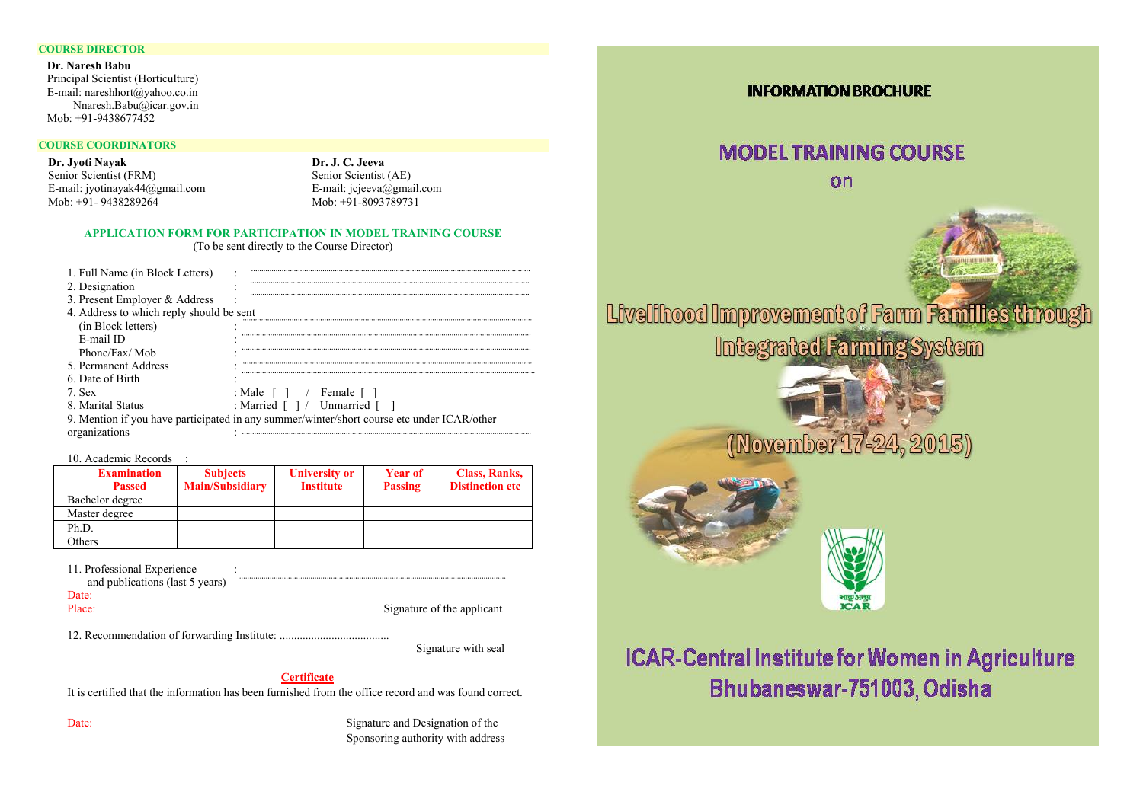#### **COURSE DIRECTOR**

 **Dr. Naresh Babu**  Principal Scientist (Horticulture) E-mail: nareshhort@yahoo.co.in Nnaresh.Babu@icar.gov.in Mob: +91-9438677452

#### **COURSE COORDINATORS**

**Dr. Jyoti Nayak**  Senior Scientist (FRM) E-mail: jyotinayak44@gmail.com Mob: +91- 9438289264

**Dr. J. C. Jeeva** Senior Scientist (AE) E-mail: jcjeeva@gmail.com Mob: +91-8093789731

#### **APPLICATION FORM FOR PARTICIPATION IN MODEL TRAINING COURSE**

(To be sent directly to the Course Director)

| 4. Address to which reply should be sent                                                   |
|--------------------------------------------------------------------------------------------|
|                                                                                            |
|                                                                                            |
|                                                                                            |
|                                                                                            |
|                                                                                            |
| : Male $\lceil \cdot \rceil$ / Female $\lceil \cdot \rceil$                                |
| : Married $\lceil \ \rceil$ / Unmarried $\lceil \ \rceil$                                  |
| 9. Mention if you have participated in any summer/winter/short course etc under ICAR/other |
|                                                                                            |
|                                                                                            |

10. Academic Records :

| <b>Examination</b> | <b>Subjects</b>        | <b>University or</b> | <b>Year of</b> | <b>Class, Ranks,</b>   |
|--------------------|------------------------|----------------------|----------------|------------------------|
| <b>Passed</b>      | <b>Main/Subsidiary</b> | <b>Institute</b>     | <b>Passing</b> | <b>Distinction etc</b> |
| Bachelor degree    |                        |                      |                |                        |
| Master degree      |                        |                      |                |                        |
| Ph.D.              |                        |                      |                |                        |
| Others             |                        |                      |                |                        |

11. Professional Experience :

and publications (last 5 years)

Date:

Place: Signature of the applicant

12. Recommendation of forwarding Institute: ......................................

Signature with seal

#### **Certificate**

It is certified that the information has been furnished from the office record and was found correct.

Date: Signature and Designation of the Signature and Designation of the Designation of the Designation of the Designation of the Designation of the Designation of the Designation of the Designation of the Designation of th Sponsoring authority with address

#### **INFORMATION BROCHURE**

### **MODEL TRAINING COURSE**

 $\alpha$ n

Livelihood Improvement of Farm Families throu Integrated Farming System

# (November 17-24, 2015)





## **ICAR-Central Institute for Women in Agriculture** Bhubaneswar-751003, Odisha